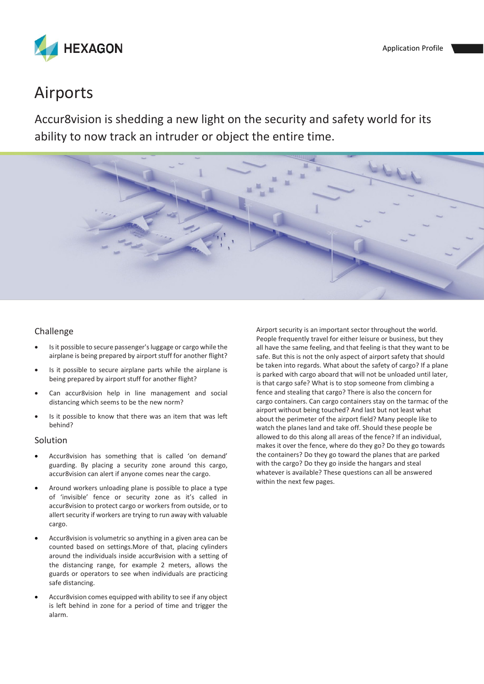

# Airports

Accur8vision is shedding a new light on the security and safety world for its ability to now track an intruder or object the entire time.



#### Challenge

- Is it possible to secure passenger's luggage or cargo while the airplane is being prepared by airport stuff for another flight?
- Is it possible to secure airplane parts while the airplane is being prepared by airport stuff for another flight?
- Can accur8vision help in line management and social distancing which seems to be the new norm?
- Is it possible to know that there was an item that was left behind?

#### Solution

- Accur8vision has something that is called 'on demand' guarding. By placing a security zone around this cargo, accur8vision can alert if anyone comes near the cargo.
- Around workers unloading plane is possible to place a type of 'invisible' fence or security zone as it's called in accur8vision to protect cargo or workers from outside, or to allert security if workers are trying to run away with valuable cargo.
- Accur8vision is volumetric so anything in a given area can be counted based on settings.More of that, placing cylinders around the individuals inside accur8vision with a setting of the distancing range, for example 2 meters, allows the guards or operators to see when individuals are practicing safe distancing.
- Accur8vision comes equipped with ability to see if any object is left behind in zone for a period of time and trigger the alarm.

Airport security is an important sector throughout the world. People frequently travel for either leisure or business, but they all have the same feeling, and that feeling is that they want to be safe. But this is not the only aspect of airport safety that should be taken into regards. What about the safety of cargo? If a plane is parked with cargo aboard that will not be unloaded until later, is that cargo safe? What is to stop someone from climbing a fence and stealing that cargo? There is also the concern for cargo containers. Can cargo containers stay on the tarmac of the airport without being touched? And last but not least what about the perimeter of the airport field? Many people like to watch the planes land and take off. Should these people be allowed to do this along all areas of the fence? If an individual, makes it over the fence, where do they go? Do they go towards the containers? Do they go toward the planes that are parked with the cargo? Do they go inside the hangars and steal whatever is available? These questions can all be answered within the next few pages.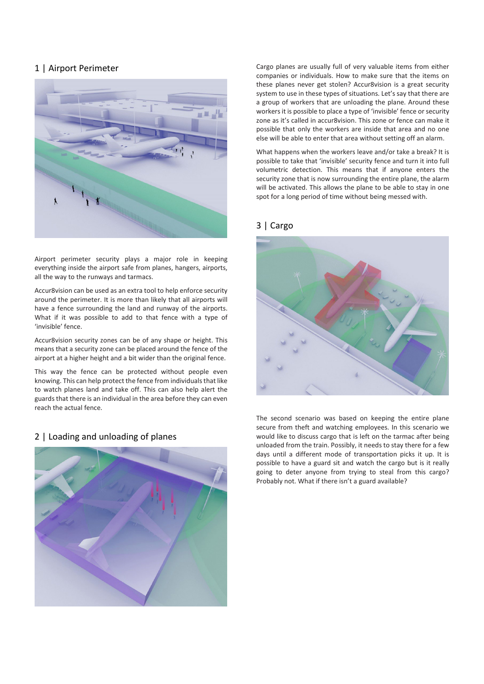# 1 | Airport Perimeter



Airport perimeter security plays a major role in keeping everything inside the airport safe from planes, hangers, airports, all the way to the runways and tarmacs.

Accur8vision can be used as an extra tool to help enforce security around the perimeter. It is more than likely that all airports will have a fence surrounding the land and runway of the airports. What if it was possible to add to that fence with a type of 'invisible' fence.

Accur8vision security zones can be of any shape or height. This means that a security zone can be placed around the fence of the airport at a higher height and a bit wider than the original fence.

This way the fence can be protected without people even knowing. This can help protect the fence from individuals that like to watch planes land and take off. This can also help alert the guards that there is an individual in the area before they can even reach the actual fence.

## 2 | Loading and unloading of planes



Cargo planes are usually full of very valuable items from either companies or individuals. How to make sure that the items on these planes never get stolen? Accur8vision is a great security system to use in these types of situations. Let's say that there are a group of workers that are unloading the plane. Around these workers it is possible to place a type of 'invisible' fence or security zone as it's called in accur8vision. This zone or fence can make it possible that only the workers are inside that area and no one else will be able to enter that area without setting off an alarm.

What happens when the workers leave and/or take a break? It is possible to take that 'invisible' security fence and turn it into full volumetric detection. This means that if anyone enters the security zone that is now surrounding the entire plane, the alarm will be activated. This allows the plane to be able to stay in one spot for a long period of time without being messed with.

#### 3 | Cargo



The second scenario was based on keeping the entire plane secure from theft and watching employees. In this scenario we would like to discuss cargo that is left on the tarmac after being unloaded from the train. Possibly, it needs to stay there for a few days until a different mode of transportation picks it up. It is possible to have a guard sit and watch the cargo but is it really going to deter anyone from trying to steal from this cargo? Probably not. What if there isn't a guard available?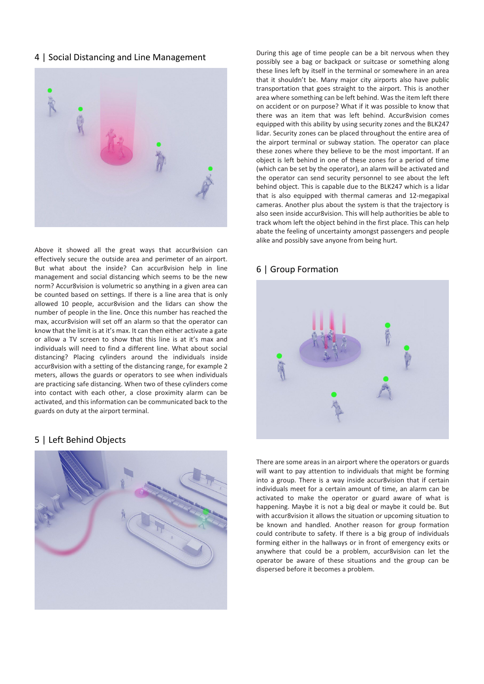### 4 | Social Distancing and Line Management



Above it showed all the great ways that accur8vision can effectively secure the outside area and perimeter of an airport. But what about the inside? Can accur8vision help in line management and social distancing which seems to be the new norm? Accur8vision is volumetric so anything in a given area can be counted based on settings. If there is a line area that is only allowed 10 people, accur8vision and the lidars can show the number of people in the line. Once this number has reached the max, accur8vision will set off an alarm so that the operator can know that the limit is at it's max. It can then either activate a gate or allow a TV screen to show that this line is at it's max and individuals will need to find a different line. What about social distancing? Placing cylinders around the individuals inside accur8vision with a setting of the distancing range, for example 2 meters, allows the guards or operators to see when individuals are practicing safe distancing. When two of these cylinders come into contact with each other, a close proximity alarm can be activated, and this information can be communicated back to the guards on duty at the airport terminal.

#### 5 | Left Behind Objects



During this age of time people can be a bit nervous when they possibly see a bag or backpack or suitcase or something along these lines left by itself in the terminal or somewhere in an area that it shouldn't be. Many major city airports also have public transportation that goes straight to the airport. This is another area where something can be left behind. Was the item left there on accident or on purpose? What if it was possible to know that there was an item that was left behind. Accur8vision comes equipped with this ability by using security zones and the BLK247 lidar. Security zones can be placed throughout the entire area of the airport terminal or subway station. The operator can place these zones where they believe to be the most important. If an object is left behind in one of these zones for a period of time (which can be set by the operator), an alarm will be activated and the operator can send security personnel to see about the left behind object. This is capable due to the BLK247 which is a lidar that is also equipped with thermal cameras and 12-megapixal cameras. Another plus about the system is that the trajectory is also seen inside accur8vision. This will help authorities be able to track whom left the object behind in the first place. This can help abate the feeling of uncertainty amongst passengers and people alike and possibly save anyone from being hurt.

#### 6 | Group Formation



There are some areas in an airport where the operators or guards will want to pay attention to individuals that might be forming into a group. There is a way inside accur8vision that if certain individuals meet for a certain amount of time, an alarm can be activated to make the operator or guard aware of what is happening. Maybe it is not a big deal or maybe it could be. But with accur8vision it allows the situation or upcoming situation to be known and handled. Another reason for group formation could contribute to safety. If there is a big group of individuals forming either in the hallways or in front of emergency exits or anywhere that could be a problem, accur8vision can let the operator be aware of these situations and the group can be dispersed before it becomes a problem.